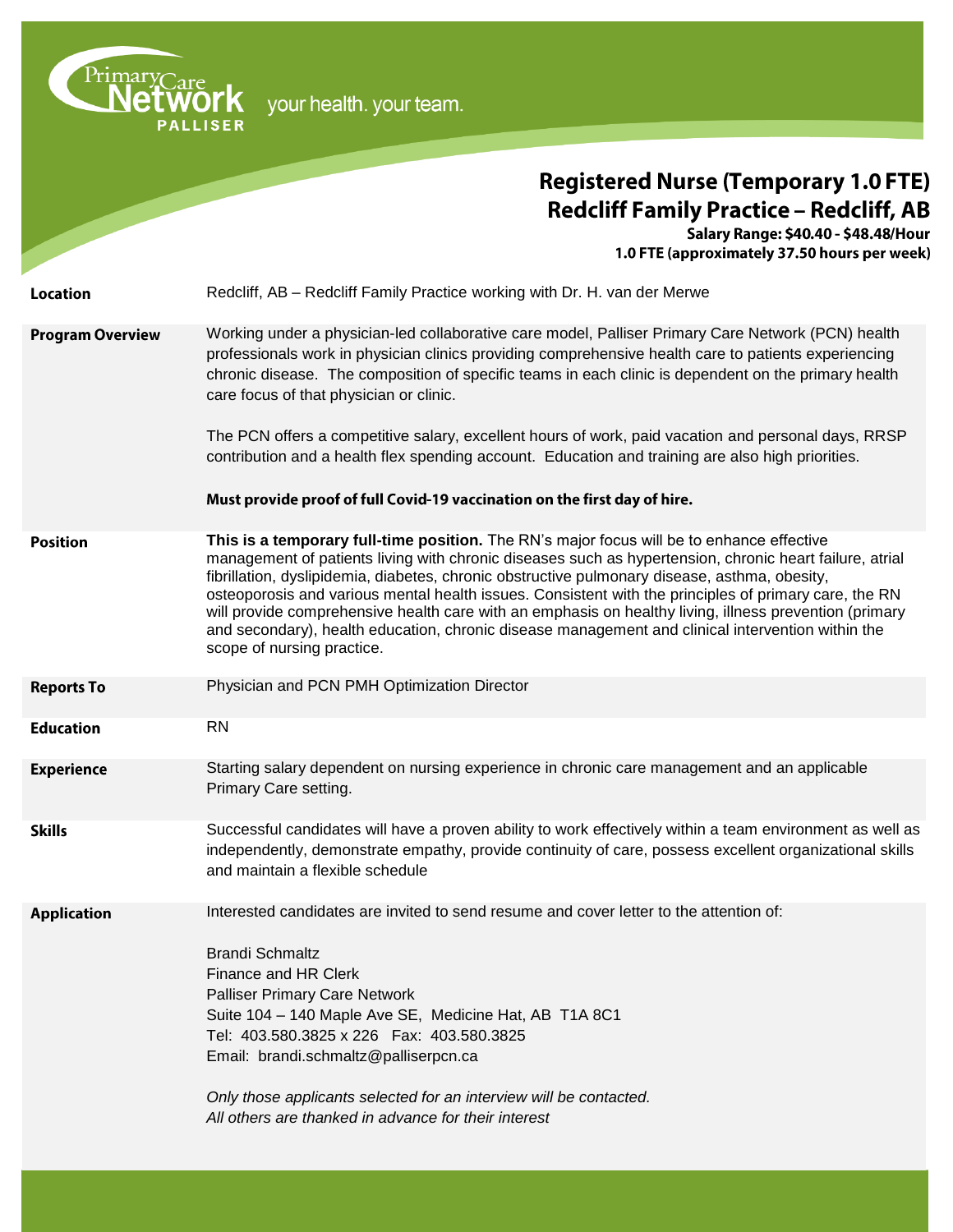| PrimaryCare<br>your health. your team. |                                                                                                                                                                                                                                                                                                                                                                                                                                                                                                                                                                                                                                                             |
|----------------------------------------|-------------------------------------------------------------------------------------------------------------------------------------------------------------------------------------------------------------------------------------------------------------------------------------------------------------------------------------------------------------------------------------------------------------------------------------------------------------------------------------------------------------------------------------------------------------------------------------------------------------------------------------------------------------|
|                                        | <b>Registered Nurse (Temporary 1.0 FTE)</b><br><b>Redcliff Family Practice - Redcliff, AB</b><br>Salary Range: \$40.40 - \$48.48/Hour<br>1.0 FTE (approximately 37.50 hours per week)                                                                                                                                                                                                                                                                                                                                                                                                                                                                       |
| Location                               | Redcliff, AB – Redcliff Family Practice working with Dr. H. van der Merwe                                                                                                                                                                                                                                                                                                                                                                                                                                                                                                                                                                                   |
| <b>Program Overview</b>                | Working under a physician-led collaborative care model, Palliser Primary Care Network (PCN) health<br>professionals work in physician clinics providing comprehensive health care to patients experiencing<br>chronic disease. The composition of specific teams in each clinic is dependent on the primary health<br>care focus of that physician or clinic.<br>The PCN offers a competitive salary, excellent hours of work, paid vacation and personal days, RRSP                                                                                                                                                                                        |
|                                        | contribution and a health flex spending account. Education and training are also high priorities.<br>Must provide proof of full Covid-19 vaccination on the first day of hire.                                                                                                                                                                                                                                                                                                                                                                                                                                                                              |
| <b>Position</b>                        | This is a temporary full-time position. The RN's major focus will be to enhance effective<br>management of patients living with chronic diseases such as hypertension, chronic heart failure, atrial<br>fibrillation, dyslipidemia, diabetes, chronic obstructive pulmonary disease, asthma, obesity,<br>osteoporosis and various mental health issues. Consistent with the principles of primary care, the RN<br>will provide comprehensive health care with an emphasis on healthy living, illness prevention (primary<br>and secondary), health education, chronic disease management and clinical intervention within the<br>scope of nursing practice. |
| <b>Reports To</b>                      | Physician and PCN PMH Optimization Director                                                                                                                                                                                                                                                                                                                                                                                                                                                                                                                                                                                                                 |
| <b>Education</b>                       | <b>RN</b>                                                                                                                                                                                                                                                                                                                                                                                                                                                                                                                                                                                                                                                   |
| <b>Experience</b>                      | Starting salary dependent on nursing experience in chronic care management and an applicable<br>Primary Care setting.                                                                                                                                                                                                                                                                                                                                                                                                                                                                                                                                       |
| <b>Skills</b>                          | Successful candidates will have a proven ability to work effectively within a team environment as well as<br>independently, demonstrate empathy, provide continuity of care, possess excellent organizational skills<br>and maintain a flexible schedule                                                                                                                                                                                                                                                                                                                                                                                                    |
| <b>Application</b>                     | Interested candidates are invited to send resume and cover letter to the attention of:<br><b>Brandi Schmaltz</b><br><b>Finance and HR Clerk</b><br><b>Palliser Primary Care Network</b><br>Suite 104 - 140 Maple Ave SE, Medicine Hat, AB T1A 8C1<br>Tel: 403.580.3825 x 226  Fax: 403.580.3825<br>Email: brandi.schmaltz@palliserpcn.ca<br>Only those applicants selected for an interview will be contacted.<br>All others are thanked in advance for their interest                                                                                                                                                                                      |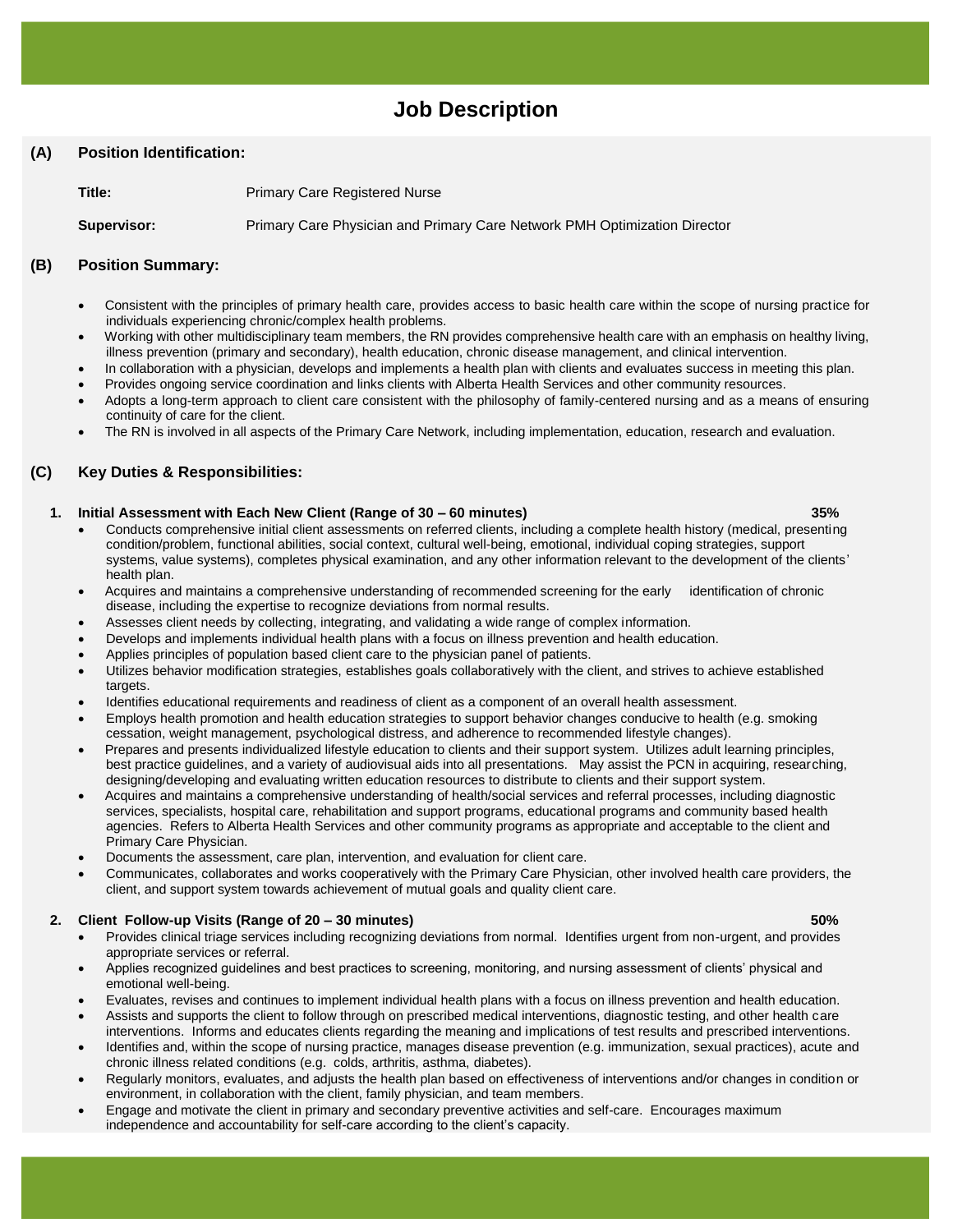# **Job Description**

# **(A) Position Identification:**

**Title:** Primary Care Registered Nurse

**Supervisor:** Primary Care Physician and Primary Care Network PMH Optimization Director

# **(B) Position Summary:**

- Consistent with the principles of primary health care, provides access to basic health care within the scope of nursing practice for individuals experiencing chronic/complex health problems.
- Working with other multidisciplinary team members, the RN provides comprehensive health care with an emphasis on healthy living, illness prevention (primary and secondary), health education, chronic disease management, and clinical intervention.
- In collaboration with a physician, develops and implements a health plan with clients and evaluates success in meeting this plan.
- Provides ongoing service coordination and links clients with Alberta Health Services and other community resources.
- Adopts a long-term approach to client care consistent with the philosophy of family-centered nursing and as a means of ensuring continuity of care for the client.
- The RN is involved in all aspects of the Primary Care Network, including implementation, education, research and evaluation.

# **(C) Key Duties & Responsibilities:**

#### **1. Initial Assessment with Each New Client (Range of 30 – 60 minutes) 35%**

- Conducts comprehensive initial client assessments on referred clients, including a complete health history (medical, presenting condition/problem, functional abilities, social context, cultural well-being, emotional, individual coping strategies, support systems, value systems), completes physical examination, and any other information relevant to the development of the clients' health plan.
- Acquires and maintains a comprehensive understanding of recommended screening for the early identification of chronic disease, including the expertise to recognize deviations from normal results.
- Assesses client needs by collecting, integrating, and validating a wide range of complex information.
- Develops and implements individual health plans with a focus on illness prevention and health education.
- Applies principles of population based client care to the physician panel of patients.
- Utilizes behavior modification strategies, establishes goals collaboratively with the client, and strives to achieve established targets.
- Identifies educational requirements and readiness of client as a component of an overall health assessment.
- Employs health promotion and health education strategies to support behavior changes conducive to health (e.g. smoking cessation, weight management, psychological distress, and adherence to recommended lifestyle changes).
- Prepares and presents individualized lifestyle education to clients and their support system. Utilizes adult learning principles, best practice guidelines, and a variety of audiovisual aids into all presentations. May assist the PCN in acquiring, researching, designing/developing and evaluating written education resources to distribute to clients and their support system.
- Acquires and maintains a comprehensive understanding of health/social services and referral processes, including diagnostic services, specialists, hospital care, rehabilitation and support programs, educational programs and community based health agencies. Refers to Alberta Health Services and other community programs as appropriate and acceptable to the client and Primary Care Physician.
- Documents the assessment, care plan, intervention, and evaluation for client care.
- Communicates, collaborates and works cooperatively with the Primary Care Physician, other involved health care providers, the client, and support system towards achievement of mutual goals and quality client care.

### **2. Client Follow-up Visits (Range of 20 – 30 minutes) 50%**

- Provides clinical triage services including recognizing deviations from normal. Identifies urgent from non-urgent, and provides appropriate services or referral.
- Applies recognized guidelines and best practices to screening, monitoring, and nursing assessment of clients' physical and emotional well-being.
- Evaluates, revises and continues to implement individual health plans with a focus on illness prevention and health education.
- Assists and supports the client to follow through on prescribed medical interventions, diagnostic testing, and other health care interventions. Informs and educates clients regarding the meaning and implications of test results and prescribed interventions.
- Identifies and, within the scope of nursing practice, manages disease prevention (e.g. immunization, sexual practices), acute and chronic illness related conditions (e.g. colds, arthritis, asthma, diabetes).
- Regularly monitors, evaluates, and adjusts the health plan based on effectiveness of interventions and/or changes in condition or environment, in collaboration with the client, family physician, and team members.
- Engage and motivate the client in primary and secondary preventive activities and self-care. Encourages maximum independence and accountability for self-care according to the client's capacity.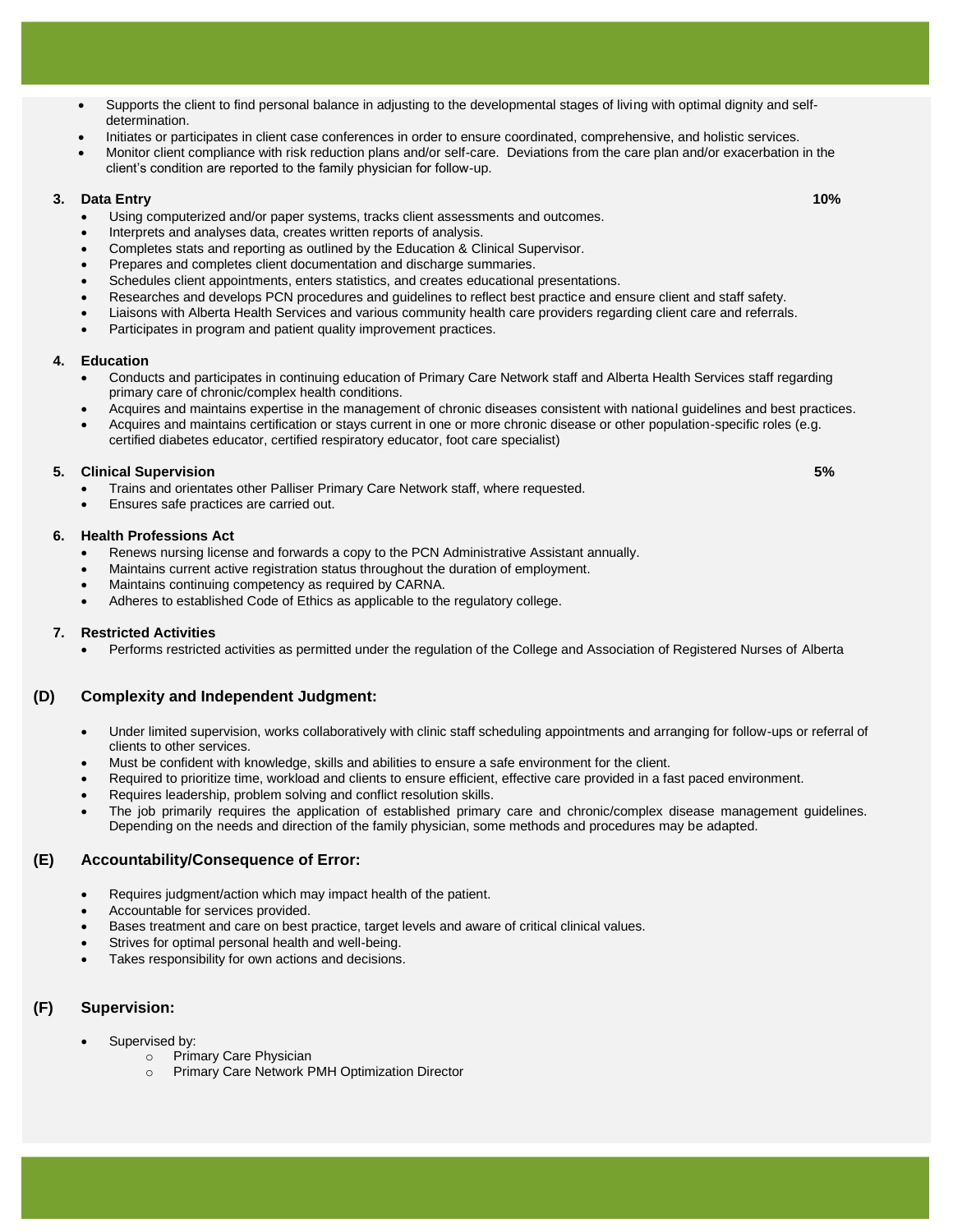- Supports the client to find personal balance in adjusting to the developmental stages of living with optimal dignity and selfdetermination.
- Initiates or participates in client case conferences in order to ensure coordinated, comprehensive, and holistic services.
- Monitor client compliance with risk reduction plans and/or self-care. Deviations from the care plan and/or exacerbation in the client's condition are reported to the family physician for follow-up.

#### **3. Data Entry 10%**

- Using computerized and/or paper systems, tracks client assessments and outcomes.
- Interprets and analyses data, creates written reports of analysis.
- Completes stats and reporting as outlined by the Education & Clinical Supervisor.
- Prepares and completes client documentation and discharge summaries.
- Schedules client appointments, enters statistics, and creates educational presentations.
- Researches and develops PCN procedures and guidelines to reflect best practice and ensure client and staff safety.
- Liaisons with Alberta Health Services and various community health care providers regarding client care and referrals.
- Participates in program and patient quality improvement practices.

#### **4. Education**

- Conducts and participates in continuing education of Primary Care Network staff and Alberta Health Services staff regarding primary care of chronic/complex health conditions.
- Acquires and maintains expertise in the management of chronic diseases consistent with national guidelines and best practices.
- Acquires and maintains certification or stays current in one or more chronic disease or other population-specific roles (e.g. certified diabetes educator, certified respiratory educator, foot care specialist)

#### **5. Clinical Supervision 5%**

- Trains and orientates other Palliser Primary Care Network staff, where requested.
- Ensures safe practices are carried out.

#### **6. Health Professions Act**

- Renews nursing license and forwards a copy to the PCN Administrative Assistant annually.
- Maintains current active registration status throughout the duration of employment.
- Maintains continuing competency as required by CARNA.
- Adheres to established Code of Ethics as applicable to the regulatory college.

#### **7. Restricted Activities**

Performs restricted activities as permitted under the regulation of the College and Association of Registered Nurses of Alberta

### **(D) Complexity and Independent Judgment:**

- Under limited supervision, works collaboratively with clinic staff scheduling appointments and arranging for follow-ups or referral of clients to other services.
- Must be confident with knowledge, skills and abilities to ensure a safe environment for the client.
- Required to prioritize time, workload and clients to ensure efficient, effective care provided in a fast paced environment.
- Requires leadership, problem solving and conflict resolution skills.
- The job primarily requires the application of established primary care and chronic/complex disease management guidelines. Depending on the needs and direction of the family physician, some methods and procedures may be adapted.

#### **(E) Accountability/Consequence of Error:**

- Requires judgment/action which may impact health of the patient.
- Accountable for services provided.
- Bases treatment and care on best practice, target levels and aware of critical clinical values.
- Strives for optimal personal health and well-being.
- Takes responsibility for own actions and decisions.

### **(F) Supervision:**

- Supervised by:
	- o Primary Care Physician
	- o Primary Care Network PMH Optimization Director